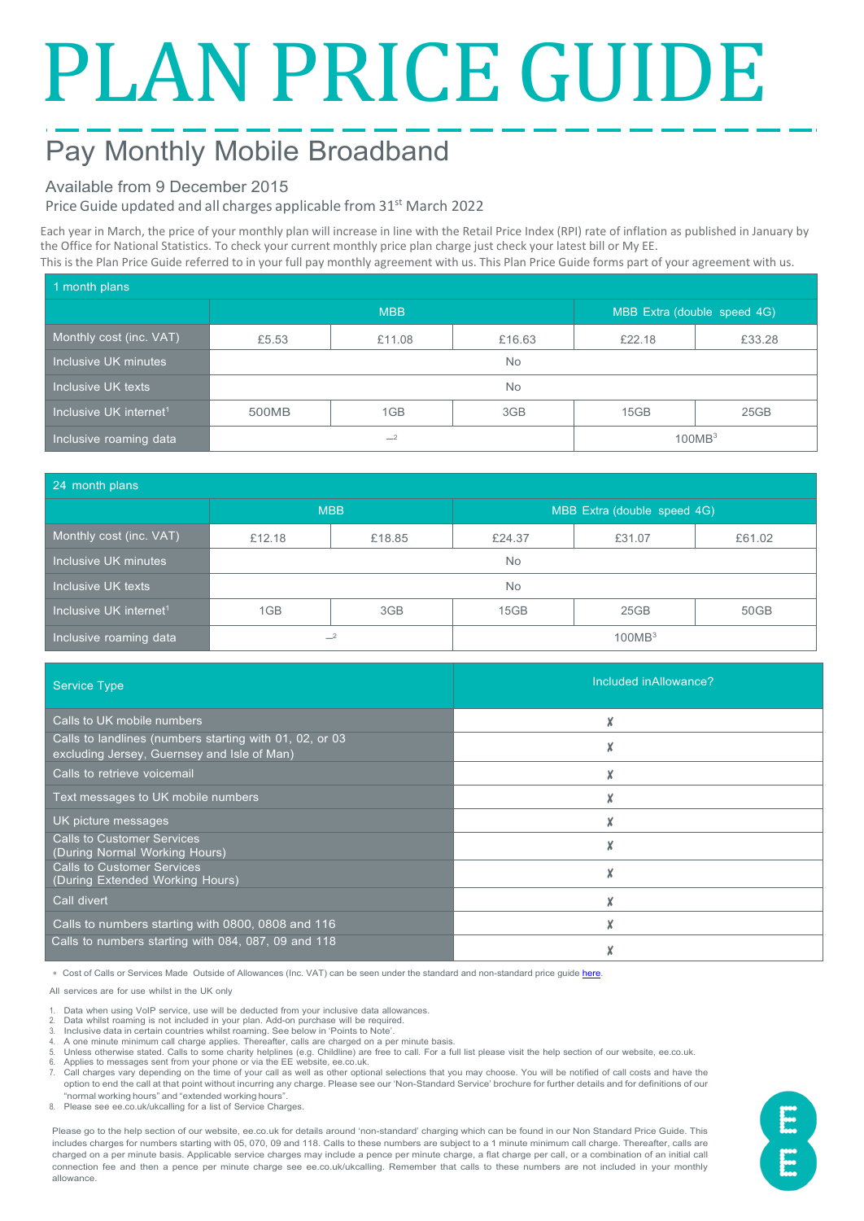# PLAN PRICE GUIDE

# Pay Monthly Mobile Broadband

### Available from 9 December 2015

Price Guide updated and all charges applicable from 31<sup>st</sup> March 2022

Each year in March, the price of your monthly plan will increase in line with the Retail Price Index (RPI) rate of inflation as published in January by the Office for National Statistics. To check your current monthly price plan charge just check your latest bill or My EE. This is the Plan Price Guide referred to in your full pay monthly agreement with us. This Plan Price Guide forms part of your agreement with us.

| 1 month plans                      |            |        |        |                             |        |  |  |
|------------------------------------|------------|--------|--------|-----------------------------|--------|--|--|
|                                    | <b>MBB</b> |        |        | MBB Extra (double speed 4G) |        |  |  |
| Monthly cost (inc. VAT)            | £5.53      | £11.08 | £16.63 | £22.18                      | £33.28 |  |  |
| Inclusive UK minutes               | No         |        |        |                             |        |  |  |
| Inclusive UK texts                 | <b>No</b>  |        |        |                             |        |  |  |
| Inclusive UK internet <sup>1</sup> | 500MB      | 1GB    | 3GB    | 15GB                        | 25GB   |  |  |
| Inclusive roaming data             | $-2$       |        |        | 100MB <sup>3</sup>          |        |  |  |

| 24 month plans                     |            |        |                             |        |        |  |  |
|------------------------------------|------------|--------|-----------------------------|--------|--------|--|--|
|                                    | <b>MBB</b> |        | MBB Extra (double speed 4G) |        |        |  |  |
| Monthly cost (inc. VAT)            | £12.18     | £18.85 | £24.37                      | £31.07 | £61.02 |  |  |
| Inclusive UK minutes               | No.        |        |                             |        |        |  |  |
| Inclusive UK texts                 | <b>No</b>  |        |                             |        |        |  |  |
| Inclusive UK internet <sup>1</sup> | 1GB        | 3GB    | 15GB                        | 25GB   | 50GB   |  |  |
| Inclusive roaming data             | $-2$       |        | 100MB <sup>3</sup>          |        |        |  |  |

| <b>Service Type</b>                                                                                    | Included in Allowance? |
|--------------------------------------------------------------------------------------------------------|------------------------|
| Calls to UK mobile numbers                                                                             |                        |
| Calls to landlines (numbers starting with 01, 02, or 03<br>excluding Jersey, Guernsey and Isle of Man) |                        |
| Calls to retrieve voicemail                                                                            | X                      |
| Text messages to UK mobile numbers                                                                     |                        |
| UK picture messages                                                                                    |                        |
| <b>Calls to Customer Services</b><br>(During Normal Working Hours)                                     |                        |
| <b>Calls to Customer Services</b><br>(During Extended Working Hours)                                   |                        |
| Call divert                                                                                            | X                      |
| Calls to numbers starting with 0800, 0808 and 116                                                      |                        |
| Calls to numbers starting with 084, 087, 09 and 118                                                    |                        |

∗ Cost of Calls or Services Made Outside of Allowances (Inc. VAT) can be seen under the standard and non-standard price guid[e here.](https://ee.co.uk/help/help-new/price-plans/mobile/pay-monthly-price-plans)

All services are for use whilst in the UK only

- 1. Data when using VoIP service, use will be deducted from your inclusive data allowances.
- 2. Data whilst roaming is not included in your plan. Add-on purchase will be required. 3. Inclusive data in certain countries whilst roaming. See below in 'Points to Note'.
- 
- 4. A one minute minimum call charge applies. Thereafter, calls are charged on a per minute basis.<br>5. Unless otherwise stated. Calls to some charity belolines (e.g. Childline) are free to call. For a f 5. Unless otherwise stated. Calls to some charity helplines (e.g. Childline) are free to call. For a full list please visit the help section of our website, ee.co.uk.<br>6. Applies to messages sent from your phone or via t
- 

7. Call charges vary depending on the time of your call as well as other optional selections that you may choose. You will be notified of call costs and have the option to end the call at that point without incurring any charge. Please see our 'Non-Standard Service' brochure for further details and for definitions of our "normal working hours" and "extended working hours".

8. Please see ee.co.uk/ukcalling for a list of Service Charges.

Please go to the help section of our website, ee.co.uk for details around 'non-standard' charging which can be found in our Non Standard Price Guide. This includes charges for numbers starting with 05, 070, 09 and 118. Calls to these numbers are subject to a 1 minute minimum call charge. Thereafter, calls are charged on a per minute basis. Applicable service charges may include a pence per minute charge, a flat charge per call, or a combination of an initial call connection fee and then a pence per minute charge see ee.co.uk/ukcalling. Remember that calls to these numbers are not included in your monthly allowance.